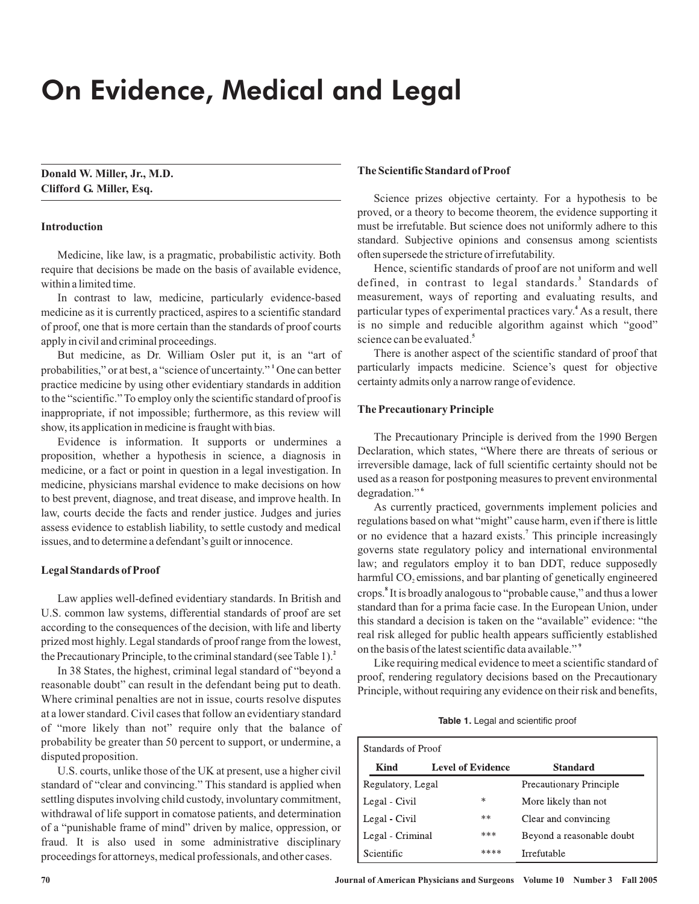# On Evidence, Medical and Legal

**Donald W. Miller, Jr., M.D. Clifford G. Miller, Esq.**

# **Introduction**

Medicine, like law, is a pragmatic, probabilistic activity. Both require that decisions be made on the basis of available evidence, within a limited time.

In contrast to law, medicine, particularly evidence-based medicine as it is currently practiced, aspires to a scientific standard of proof, one that is more certain than the standards of proof courts apply in civil and criminal proceedings.

But medicine, as Dr. William Osler put it, is an "art of probabilities," or at best, a "science of uncertainty." <sup>1</sup> One can better practice medicine by using other evidentiary standards in addition to the "scientific." To employ only the scientific standard of proof is inappropriate, if not impossible; furthermore, as this review will show, its application in medicine is fraught with bias.

Evidence is information. It supports or undermines a proposition, whether a hypothesis in science, a diagnosis in medicine, or a fact or point in question in a legal investigation. In medicine, physicians marshal evidence to make decisions on how to best prevent, diagnose, and treat disease, and improve health. In law, courts decide the facts and render justice. Judges and juries assess evidence to establish liability, to settle custody and medical issues, and to determine a defendant's guilt or innocence.

#### **Legal Standards of Proof**

Law applies well-defined evidentiary standards. In British and U.S. common law systems, differential standards of proof are set according to the consequences of the decision, with life and liberty prized most highly. Legal standards of proof range from the lowest, the Precautionary Principle, to the criminal standard (see Table 1). **2**

In 38 States, the highest, criminal legal standard of "beyond a reasonable doubt" can result in the defendant being put to death. Where criminal penalties are not in issue, courts resolve disputes at a lower standard. Civil cases that follow an evidentiary standard of "more likely than not" require only that the balance of probability be greater than 50 percent to support, or undermine, a disputed proposition.

U.S. courts, unlike those of the UK at present, use a higher civil standard of "clear and convincing." This standard is applied when settling disputes involving child custody, involuntary commitment, withdrawal of life support in comatose patients, and determination of a "punishable frame of mind" driven by malice, oppression, or fraud. It is also used in some administrative disciplinary proceedings for attorneys, medical professionals, and other cases.

# **The Scientific Standard of Proof**

Science prizes objective certainty. For a hypothesis to be proved, or a theory to become theorem, the evidence supporting it must be irrefutable. But science does not uniformly adhere to this standard. Subjective opinions and consensus among scientists often supersede the stricture of irrefutability.

Hence, scientific standards of proof are not uniform and well defined, in contrast to legal standards. Standards of **3** measurement, ways of reporting and evaluating results, and particular types of experimental practices vary.<sup>4</sup> As a result, there is no simple and reducible algorithm against which "good" science can be evaluated. **5**

There is another aspect of the scientific standard of proof that particularly impacts medicine. Science's quest for objective certainty admits only a narrow range of evidence.

#### **The Precautionary Principle**

The Precautionary Principle is derived from the 1990 Bergen Declaration, which states, "Where there are threats of serious or irreversible damage, lack of full scientific certainty should not be used as a reason for postponing measures to prevent environmental degradation." **6**

As currently practiced, governments implement policies and regulations based on what "might" cause harm, even if there is little or no evidence that a hazard exists.<sup>7</sup> This principle increasingly governs state regulatory policy and international environmental law; and regulators employ it to ban DDT, reduce supposedly harmful  $CO<sub>2</sub>$  emissions, and bar planting of genetically engineered crops. It is broadly analogous to "probable cause," and thus a lower **8** standard than for a prima facie case. In the European Union, under this standard a decision is taken on the "available" evidence: "the real risk alleged for public health appears sufficiently established on the basis of the latest scientific data available." **9**

Like requiring medical evidence to meet a scientific standard of proof, rendering regulatory decisions based on the Precautionary Principle, without requiring any evidence on their risk and benefits,

|  | Table 1. Legal and scientific proof |  |
|--|-------------------------------------|--|
|--|-------------------------------------|--|

| Standards of Proof |                          |                           |  |
|--------------------|--------------------------|---------------------------|--|
| Kind               | <b>Level of Evidence</b> | <b>Standard</b>           |  |
| Regulatory, Legal  |                          | Precautionary Principle   |  |
| Legal - Civil      | $\ast$                   | More likely than not      |  |
| Legal Civil        | **                       | Clear and convincing      |  |
| Legal - Criminal   | ***                      | Beyond a reasonable doubt |  |
| Scientific         | ****                     | <b>Irrefutable</b>        |  |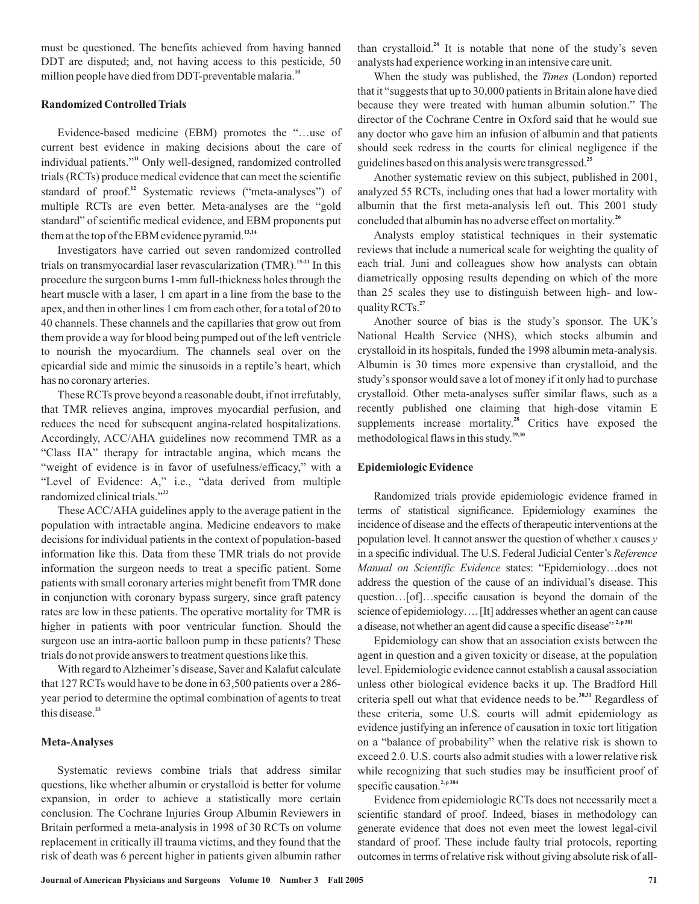must be questioned. The benefits achieved from having banned DDT are disputed; and, not having access to this pesticide, 50 million people have died from DDT-preventable malaria. **10**

#### **Randomized ControlledTrials**

Evidence-based medicine (EBM) promotes the "…use of current best evidence in making decisions about the care of individual patients."<sup>11</sup> Only well-designed, randomized controlled trials (RCTs) produce medical evidence that can meet the scientific standard of proof.<sup>12</sup> Systematic reviews ("meta-analyses") of multiple RCTs are even better. Meta-analyses are the "gold standard" of scientific medical evidence, and EBM proponents put them at the top of the EBM evidence pyramid. **13,14**

Investigators have carried out seven randomized controlled trials on transmyocardial laser revascularization (TMR).<sup>15-21</sup> In this procedure the surgeon burns 1-mm full-thickness holes through the heart muscle with a laser, 1 cm apart in a line from the base to the apex, and then in other lines 1 cm from each other, for a total of 20 to 40 channels. These channels and the capillaries that grow out from them provide a way for blood being pumped out of the left ventricle to nourish the myocardium. The channels seal over on the epicardial side and mimic the sinusoids in a reptile's heart, which has no coronary arteries.

These RCTs prove beyond a reasonable doubt, if not irrefutably, that TMR relieves angina, improves myocardial perfusion, and reduces the need for subsequent angina-related hospitalizations. Accordingly, ACC/AHA guidelines now recommend TMR as a "Class IIA" therapy for intractable angina, which means the "weight of evidence is in favor of usefulness/efficacy," with a "Level of Evidence: A," i.e., "data derived from multiple randomized clinical trials." **22**

These ACC/AHA guidelines apply to the average patient in the population with intractable angina. Medicine endeavors to make decisions for individual patients in the context of population-based information like this. Data from these TMR trials do not provide information the surgeon needs to treat a specific patient. Some patients with small coronary arteries might benefit from TMR done in conjunction with coronary bypass surgery, since graft patency rates are low in these patients. The operative mortality for TMR is higher in patients with poor ventricular function. Should the surgeon use an intra-aortic balloon pump in these patients? These trials do not provide answers to treatment questions like this.

With regard to Alzheimer's disease, Saver and Kalafut calculate that 127 RCTs would have to be done in 63,500 patients over a 286 year period to determine the optimal combination of agents to treat this disease. **23**

## **Meta-Analyses**

Systematic reviews combine trials that address similar questions, like whether albumin or crystalloid is better for volume expansion, in order to achieve a statistically more certain conclusion. The Cochrane Injuries Group Albumin Reviewers in Britain performed a meta-analysis in 1998 of 30 RCTs on volume replacement in critically ill trauma victims, and they found that the risk of death was 6 percent higher in patients given albumin rather

than crystalloid.<sup>24</sup> It is notable that none of the study's seven analysts had experience working in an intensive care unit.

When the study was published, the Times (London) reported that it "suggests that up to 30,000 patients in Britain alone have died because they were treated with human albumin solution." The director of the Cochrane Centre in Oxford said that he would sue any doctor who gave him an infusion of albumin and that patients should seek redress in the courts for clinical negligence if the guidelines based on this analysis were transgressed. **25**

Another systematic review on this subject, published in 2001, analyzed 55 RCTs, including ones that had a lower mortality with albumin that the first meta-analysis left out. This 2001 study concluded that albumin has no adverse effect on mortality. **26**

Analysts employ statistical techniques in their systematic reviews that include a numerical scale for weighting the quality of each trial. Juni and colleagues show how analysts can obtain diametrically opposing results depending on which of the more than 25 scales they use to distinguish between high- and lowquality RCTs. **27**

Another source of bias is the study's sponsor. The UK's National Health Service (NHS), which stocks albumin and crystalloid in its hospitals, funded the 1998 albumin meta-analysis. Albumin is 30 times more expensive than crystalloid, and the study's sponsor would save a lot of money if it only had to purchase crystalloid. Other meta-analyses suffer similar flaws, such as a recently published one claiming that high-dose vitamin E supplements increase mortality.<sup>28</sup> Critics have exposed the methodological flaws in this study. **29,30**

#### **Epidemiologic Evidence**

Randomized trials provide epidemiologic evidence framed in terms of statistical significance. Epidemiology examines the incidence of disease and the effects of therapeutic interventions at the population level. It cannot answer the question of whether x causes y in a specific individual. The U.S. Federal Judicial Center's *Reference* Manual on Scientific Evidence states: "Epidemiology...does not address the question of the cause of an individual's disease. This question…[of]…specific causation is beyond the domain of the science of epidemiology…. [It] addresses whether an agent can cause a disease, not whether an agent did cause a specific disease"<sup>2, p381</sup>

Epidemiology can show that an association exists between the agent in question and a given toxicity or disease, at the population level. Epidemiologic evidence cannot establish a causal association unless other biological evidence backs it up. The Bradford Hill criteria spell out what that evidence needs to be.<sup>30,31</sup> Regardless of these criteria, some U.S. courts will admit epidemiology as evidence justifying an inference of causation in toxic tort litigation on a "balance of probability" when the relative risk is shown to exceed 2.0. U.S. courts also admit studies with a lower relative risk while recognizing that such studies may be insufficient proof of specific causation.<sup>2, p384</sup>

Evidence from epidemiologic RCTs does not necessarily meet a scientific standard of proof. Indeed, biases in methodology can generate evidence that does not even meet the lowest legal-civil standard of proof. These include faulty trial protocols, reporting outcomes in terms of relative risk without giving absolute risk of all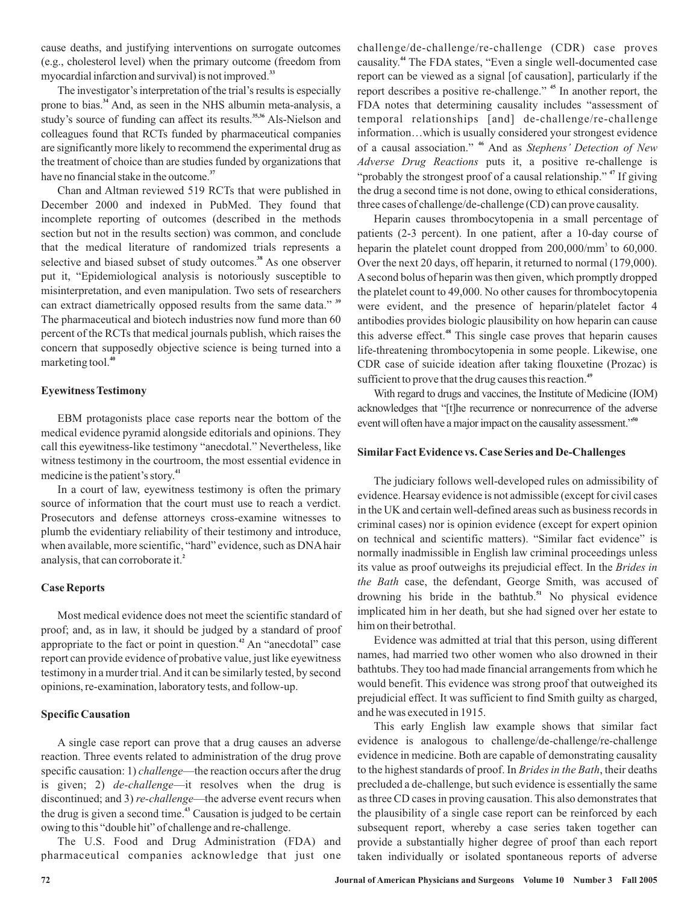cause deaths, and justifying interventions on surrogate outcomes (e.g., cholesterol level) when the primary outcome (freedom from myocardial infarction and survival) is not improved. **33**

The investigator's interpretation of the trial's results is especially prone to bias.<sup>34</sup> And, as seen in the NHS albumin meta-analysis, a study's source of funding can affect its results.<sup>35,36</sup> Als-Nielson and colleagues found that RCTs funded by pharmaceutical companies are significantly more likely to recommend the experimental drug as the treatment of choice than are studies funded by organizations that have no financial stake in the outcome. **37**

Chan and Altman reviewed 519 RCTs that were published in December 2000 and indexed in PubMed. They found that incomplete reporting of outcomes (described in the methods section but not in the results section) was common, and conclude that the medical literature of randomized trials represents a selective and biased subset of study outcomes.<sup>38</sup> As one observer put it, "Epidemiological analysis is notoriously susceptible to misinterpretation, and even manipulation. Two sets of researchers can extract diametrically opposed results from the same data." **39** The pharmaceutical and biotech industries now fund more than 60 percent of the RCTs that medical journals publish, which raises the concern that supposedly objective science is being turned into a marketing tool. **40**

## **EyewitnessTestimony**

EBM protagonists place case reports near the bottom of the medical evidence pyramid alongside editorials and opinions. They call this eyewitness-like testimony "anecdotal." Nevertheless, like witness testimony in the courtroom, the most essential evidence in medicine is the patient's story. **41**

In a court of law, eyewitness testimony is often the primary source of information that the court must use to reach a verdict. Prosecutors and defense attorneys cross-examine witnesses to plumb the evidentiary reliability of their testimony and introduce, when available, more scientific, "hard" evidence, such as DNA hair analysis, that can corroborate it. **2**

## **Case Reports**

Most medical evidence does not meet the scientific standard of proof; and, as in law, it should be judged by a standard of proof appropriate to the fact or point in question.<sup>42</sup> An "anecdotal" case report can provide evidence of probative value, just like eyewitness testimony in a murder trial.And it can be similarly tested, by second opinions, re-examination, laboratory tests, and follow-up.

# **Specific Causation**

A single case report can prove that a drug causes an adverse reaction. Three events related to administration of the drug prove specific causation: 1) *challenge*—the reaction occurs after the drug is given; 2) *de-challenge*—it resolves when the drug is discontinued; and 3) *re-challenge*—the adverse event recurs when the drug is given a second time.<sup>43</sup> Causation is judged to be certain owing to this "double hit" of challenge and re-challenge.

The U.S. Food and Drug Administration (FDA) and pharmaceutical companies acknowledge that just one challenge/de-challenge/re-challenge (CDR) case proves causality.<sup>44</sup> The FDA states, "Even a single well-documented case report can be viewed as a signal [of causation], particularly if the report describes a positive re-challenge." <sup>45</sup> In another report, the FDA notes that determining causality includes "assessment of temporal relationships [and] de-challenge/re-challenge information…which is usually considered your strongest evidence of a causal association." <sup>46</sup> And as Stephens' Detection of New Adverse Drug Reactions puts it, a positive re-challenge is "probably the strongest proof of a causal relationship."<sup>47</sup> If giving the drug a second time is not done, owing to ethical considerations, three cases of challenge/de-challenge (CD) can prove causality.

Heparin causes thrombocytopenia in a small percentage of patients (2-3 percent). In one patient, after a 10-day course of heparin the platelet count dropped from  $200,000/\text{mm}^3$  to  $60,000$ . Over the next 20 days, off heparin, it returned to normal (179,000). A second bolus of heparin was then given, which promptly dropped the platelet count to 49,000. No other causes for thrombocytopenia were evident, and the presence of heparin/platelet factor 4 antibodies provides biologic plausibility on how heparin can cause this adverse effect.<sup>48</sup> This single case proves that heparin causes life-threatening thrombocytopenia in some people. Likewise, one CDR case of suicide ideation after taking flouxetine (Prozac) is sufficient to prove that the drug causes this reaction. **49**

With regard to drugs and vaccines, the Institute of Medicine (IOM) acknowledges that "[t]he recurrence or nonrecurrence of the adverse event will often have a major impact on the causality assessment." **50**

## **Similar Fact Evidence vs. Case Series and De-Challenges**

The judiciary follows well-developed rules on admissibility of evidence. Hearsay evidence is not admissible (except for civil cases in the UK and certain well-defined areas such as business records in criminal cases) nor is opinion evidence (except for expert opinion on technical and scientific matters). "Similar fact evidence" is normally inadmissible in English law criminal proceedings unless its value as proof outweighs its prejudicial effect. In the *Brides in* the Bath case, the defendant, George Smith, was accused of drowning his bride in the bathtub.<sup>51</sup> No physical evidence implicated him in her death, but she had signed over her estate to him on their betrothal.

Evidence was admitted at trial that this person, using different names, had married two other women who also drowned in their bathtubs. They too had made financial arrangements from which he would benefit. This evidence was strong proof that outweighed its prejudicial effect. It was sufficient to find Smith guilty as charged, and he was executed in 1915.

This early English law example shows that similar fact evidence is analogous to challenge/de-challenge/re-challenge evidence in medicine. Both are capable of demonstrating causality to the highest standards of proof. In *Brides in the Bath*, their deaths precluded a de-challenge, but such evidence is essentially the same as three CD cases in proving causation. This also demonstrates that the plausibility of a single case report can be reinforced by each subsequent report, whereby a case series taken together can provide a substantially higher degree of proof than each report taken individually or isolated spontaneous reports of adverse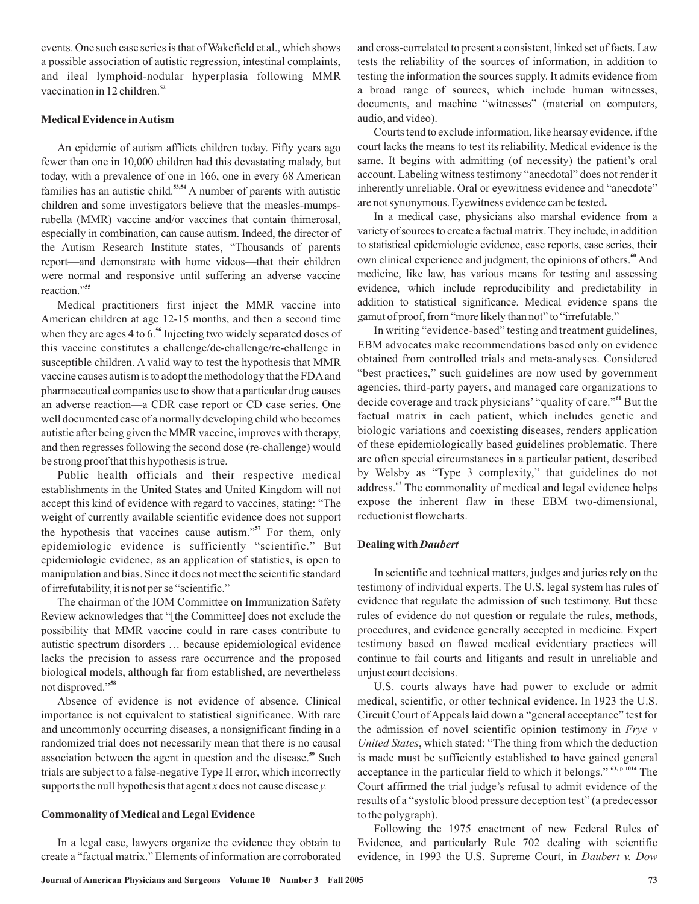events. One such case series is that of Wakefield et al., which shows a possible association of autistic regression, intestinal complaints, and ileal lymphoid-nodular hyperplasia following MMR vaccination in 12 children. **52**

# **Medical Evidence inAutism**

An epidemic of autism afflicts children today. Fifty years ago fewer than one in 10,000 children had this devastating malady, but today, with a prevalence of one in 166, one in every 68 American families has an autistic child.<sup>53,54</sup> A number of parents with autistic children and some investigators believe that the measles-mumpsrubella (MMR) vaccine and/or vaccines that contain thimerosal, especially in combination, can cause autism. Indeed, the director of the Autism Research Institute states, "Thousands of parents report—and demonstrate with home videos—that their children were normal and responsive until suffering an adverse vaccine reaction." **55**

Medical practitioners first inject the MMR vaccine into American children at age 12-15 months, and then a second time when they are ages 4 to 6.<sup>56</sup> Injecting two widely separated doses of this vaccine constitutes a challenge/de-challenge/re-challenge in susceptible children. A valid way to test the hypothesis that MMR vaccine causes autism is to adopt the methodology that the FDAand pharmaceutical companies use to show that a particular drug causes an adverse reaction—a CDR case report or CD case series. One well documented case of a normally developing child who becomes autistic after being given the MMR vaccine, improves with therapy, and then regresses following the second dose (re-challenge) would be strong proof that this hypothesis is true.

Public health officials and their respective medical establishments in the United States and United Kingdom will not accept this kind of evidence with regard to vaccines, stating: "The weight of currently available scientific evidence does not support the hypothesis that vaccines cause autism."<sup>57</sup> For them, only epidemiologic evidence is sufficiently "scientific." But epidemiologic evidence, as an application of statistics, is open to manipulation and bias. Since it does not meet the scientific standard of irrefutability, it is not per se "scientific."

The chairman of the IOM Committee on Immunization Safety Review acknowledges that "[the Committee] does not exclude the possibility that MMR vaccine could in rare cases contribute to autistic spectrum disorders … because epidemiological evidence lacks the precision to assess rare occurrence and the proposed biological models, although far from established, are nevertheless not disproved." **58**

Absence of evidence is not evidence of absence. Clinical importance is not equivalent to statistical significance. With rare and uncommonly occurring diseases, a nonsignificant finding in a randomized trial does not necessarily mean that there is no causal association between the agent in question and the disease.<sup>59</sup> Such trials are subject to a false-negative Type II error, which incorrectly supports the null hypothesis that agent  $x$  does not cause disease  $y$ .

## **Commonality ofMedical and Legal Evidence**

In a legal case, lawyers organize the evidence they obtain to create a "factual matrix." Elements of information are corroborated and cross-correlated to present a consistent, linked set of facts. Law tests the reliability of the sources of information, in addition to testing the information the sources supply. It admits evidence from a broad range of sources, which include human witnesses, documents, and machine "witnesses" (material on computers, audio, and video).

Courts tend to exclude information, like hearsay evidence, if the court lacks the means to test its reliability. Medical evidence is the same. It begins with admitting (of necessity) the patient's oral account. Labeling witness testimony "anecdotal" does not render it inherently unreliable. Oral or eyewitness evidence and "anecdote" are not synonymous. Eyewitness evidence can be tested **.**

In a medical case, physicians also marshal evidence from a variety of sources to create a factual matrix. They include, in addition to statistical epidemiologic evidence, case reports, case series, their own clinical experience and judgment, the opinions of others.<sup>60</sup> And medicine, like law, has various means for testing and assessing evidence, which include reproducibility and predictability in addition to statistical significance. Medical evidence spans the gamut of proof, from "more likely than not" to "irrefutable."

In writing "evidence-based" testing and treatment guidelines, EBM advocates make recommendations based only on evidence obtained from controlled trials and meta-analyses. Considered "best practices," such guidelines are now used by government agencies, third-party payers, and managed care organizations to decide coverage and track physicians' "quality of care."<sup>61</sup> But the factual matrix in each patient, which includes genetic and biologic variations and coexisting diseases, renders application of these epidemiologically based guidelines problematic. There are often special circumstances in a particular patient, described by Welsby as "Type 3 complexity," that guidelines do not address.<sup>62</sup> The commonality of medical and legal evidence helps expose the inherent flaw in these EBM two-dimensional, reductionist flowcharts.

#### **Dealing with** *Daubert*

In scientific and technical matters, judges and juries rely on the testimony of individual experts. The U.S. legal system has rules of evidence that regulate the admission of such testimony. But these rules of evidence do not question or regulate the rules, methods, procedures, and evidence generally accepted in medicine. Expert testimony based on flawed medical evidentiary practices will continue to fail courts and litigants and result in unreliable and unjust court decisions.

U.S. courts always have had power to exclude or admit medical, scientific, or other technical evidence. In 1923 the U.S. Circuit Court of Appeals laid down a "general acceptance" test for the admission of novel scientific opinion testimony in *Frye v* United States, which stated: "The thing from which the deduction is made must be sufficiently established to have gained general acceptance in the particular field to which it belongs."  $63$ , p 1014 The Court affirmed the trial judge's refusal to admit evidence of the results of a "systolic blood pressure deception test" (a predecessor to the polygraph).

Following the 1975 enactment of new Federal Rules of Evidence, and particularly Rule 702 dealing with scientific evidence, in 1993 the U.S. Supreme Court, in *Daubert v. Dow*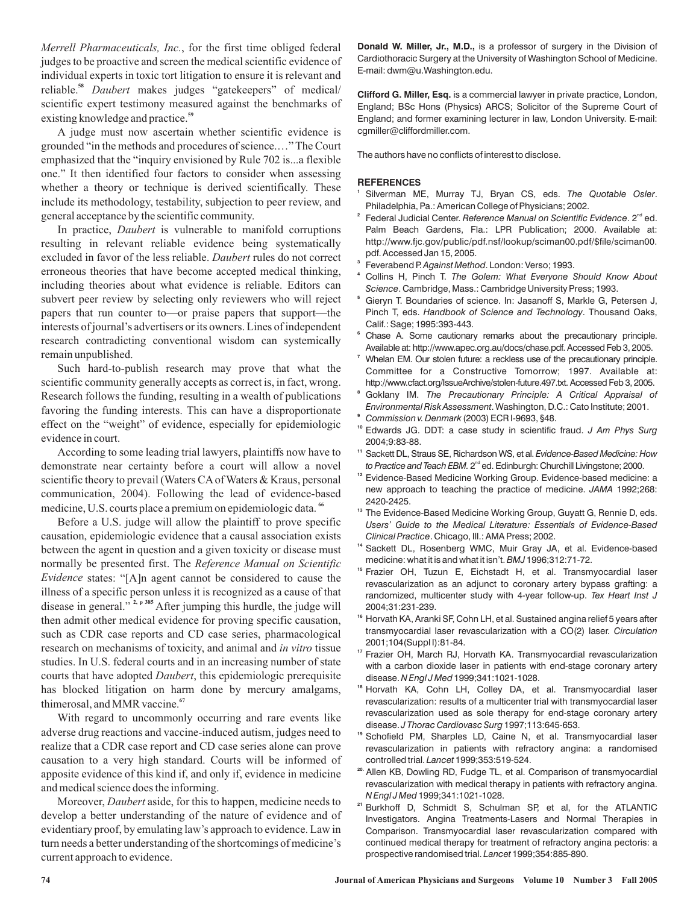*Merrell Pharmaceuticals, Inc.* , for the first time obliged federal reliable.<sup>58</sup> Daubert makes judges "gatekeepers" of medical/ judges to be proactive and screen the medical scientific evidence of individual experts in toxic tort litigation to ensure it is relevant and scientific expert testimony measured against the benchmarks of existing knowledge and practice. **59**

A judge must now ascertain whether scientific evidence is grounded "in the methods and procedures of science.…" The Court emphasized that the "inquiry envisioned by Rule 702 is...a flexible one." It then identified four factors to consider when assessing whether a theory or technique is derived scientifically. These include its methodology, testability, subjection to peer review, and general acceptance by the scientific community.

In practice, *Daubert* is vulnerable to manifold corruptions excluded in favor of the less reliable. *Daubert* rules do not correct resulting in relevant reliable evidence being systematically erroneous theories that have become accepted medical thinking, including theories about what evidence is reliable. Editors can subvert peer review by selecting only reviewers who will reject papers that run counter to—or praise papers that support—the interests of journal's advertisers or its owners. Lines of independent research contradicting conventional wisdom can systemically remain unpublished.

Such hard-to-publish research may prove that what the scientific community generally accepts as correct is, in fact, wrong. Research follows the funding, resulting in a wealth of publications favoring the funding interests. This can have a disproportionate effect on the "weight" of evidence, especially for epidemiologic evidence in court.

According to some leading trial lawyers, plaintiffs now have to demonstrate near certainty before a court will allow a novel scientific theory to prevail (Waters CA of Waters & Kraus, personal communication, 2004). Following the lead of evidence-based medicine, U.S. courts place a premium on epidemiologic data. **66**

normally be presented first. The Reference Manual on Scientific *Evidence* states: "[A]n agent cannot be considered to cause the research on mechanisms of toxicity, and animal and in vitro tissue courts that have adopted *Daubert*, this epidemiologic prerequisite Before a U.S. judge will allow the plaintiff to prove specific causation, epidemiologic evidence that a causal association exists between the agent in question and a given toxicity or disease must illness of a specific person unless it is recognized as a cause of that disease in general."<sup>2, p 385</sup> After jumping this hurdle, the judge will then admit other medical evidence for proving specific causation, such as CDR case reports and CD case series, pharmacological studies. In U.S. federal courts and in an increasing number of state has blocked litigation on harm done by mercury amalgams, thimerosal, and MMR vaccine. **67**

With regard to uncommonly occurring and rare events like adverse drug reactions and vaccine-induced autism, judges need to realize that a CDR case report and CD case series alone can prove causation to a very high standard. Courts will be informed of apposite evidence of this kind if, and only if, evidence in medicine and medical science does the informing.

Moreover, *Daubert* aside, for this to happen, medicine needs to develop a better understanding of the nature of evidence and of evidentiary proof, by emulating law's approach to evidence. Law in turn needs a better understanding of the shortcomings of medicine's current approach to evidence.

**Donald W. Miller, Jr., M.D.,** is a professor of surgery in the Division of Cardiothoracic Surgery at the University of Washington School of Medicine. E-mail: dwm@u.Washington.edu.

**Clifford G. Miller, Esq.** is a commercial lawyer in private practice, London, England; BSc Hons (Physics) ARCS; Solicitor of the Supreme Court of England; and former examining lecturer in law, London University. E-mail: cgmiller@cliffordmiller.com.

The authors have no conflicts of interest to disclose.

#### **REFERENCES**

- Silverman ME, Murray TJ, Bryan CS, eds. The Quotable Osler. Philadelphia, Pa.: American College of Physicians; 2002. **1**
- <sup>2</sup> Federal Judicial Center. Reference Manual on Scientific Evidence. 2<sup>nd</sup> ed. Palm Beach Gardens, Fla.: LPR Publication; 2000. Available at: http://www.fjc.gov/public/pdf.nsf/lookup/sciman00.pdf/\$file/sciman00. pdf. Accessed Jan 15, 2005.
- <sup>3</sup> Feverabend P. Against Method. London: Verso; 1993.
- Collins H, Pinch T. **4** *The Golem: What Everyone Should Know About* . Cambridge, Mass.: Cambridge University Press; 1993. *Science*
- <sup>5</sup> Gieryn T. Boundaries of science. In: Jasanoff S, Markle G, Petersen J, Pinch T, eds. Handbook of Science and Technology. Thousand Oaks, Calif.: Sage; 1995:393-443.
- Chase A. Some cautionary remarks about the precautionary principle. **6** Available at: http://www.apec.org.au/docs/chase.pdf. Accessed Feb 3, 2005.
- Whelan EM. Our stolen future: a reckless use of the precautionary principle. Committee for a Constructive Tomorrow; 1997. Available at: http://www.cfact.org/IssueArchive/stolen-future.497.txt. Accessed Feb 3, 2005. **7**
- Goklany IM. *The Precautionary Principle: A Critical Appraisal of Environmental Risk Assessment*. Washington, D.C.: Cato Institute; 2001. **8**
- (2003) ECR I-9693, §48. *Commission v. Denmark* **9**
- Edwards JG. DDT: a case study in scientific fraud. **10** *J Am Phys Surg* 2004;9:83-88.
- Sackett DL, Straus SE, Richardson WS, et al. **11** *Evidence-Based Medicine: How to Practice and Teach EBM.* 2<sup>nd</sup> ed. Edinburgh: Churchill Livingstone; 2000.
- <sup>12</sup> Evidence-Based Medicine Working Group. Evidence-based medicine: a new approach to teaching the practice of medicine. JAMA 1992;268: 2420-2425.
- <sup>13</sup> The Evidence-Based Medicine Working Group, Guyatt G, Rennie D, eds. Clinical Practice. Chicago, III.: AMA Press; 2002. *Users' Guide to the Medical Literature: Essentials of Evidence-Based*
- <sup>14</sup> Sackett DL, Rosenberg WMC, Muir Gray JA, et al. Evidence-based medicine: what it is and what it isn't. *BMJ* 1996;312:71-72.
- <sup>15</sup> Frazier OH, Tuzun E, Eichstadt H, et al. Transmyocardial laser revascularization as an adjunct to coronary artery bypass grafting: a randomized, multicenter study with 4-year follow-up. *Tex Heart Inst J* 2004;31:231-239.
- <sup>16</sup> Horvath KA, Aranki SF, Cohn LH, et al. Sustained angina relief 5 years after transmyocardial laser revascularization with a CO(2) laser. *Circulation* 2001;104(Suppl I):81-84.
- <sup>17</sup> Frazier OH, March RJ, Horvath KA. Transmyocardial revascularization with a carbon dioxide laser in patients with end-stage coronary artery disease. *N Engl J Med* 1999;341:1021-1028.
- <sup>18</sup> Horvath KA, Cohn LH, Colley DA, et al. Transmyocardial laser revascularization: results of a multicenter trial with transmyocardial laser revascularization used as sole therapy for end-stage coronary artery disease. J Thorac Cardiovasc Surg 1997;113:645-653.
- <sup>19</sup> Schofield PM, Sharples LD, Caine N, et al. Transmyocardial laser revascularization in patients with refractory angina: a randomised controlled trial. Lancet 1999;353:519-524.
- <sup>20.</sup> Allen KB, Dowling RD, Fudge TL, et al. Comparison of transmyocardial revascularization with medical therapy in patients with refractory angina. 1999;341:1021-1028. *N Engl J Med*
- <sup>21</sup> Burkhoff D, Schmidt S, Schulman SP, et al, for the ATLANTIC Investigators. Angina Treatments-Lasers and Normal Therapies in Comparison. Transmyocardial laser revascularization compared with continued medical therapy for treatment of refractory angina pectoris: a prospective randomised trial. Lancet 1999;354:885-890.